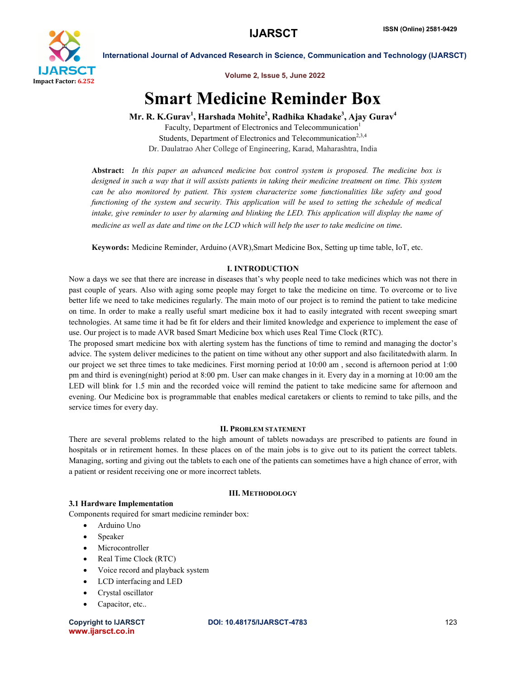

International Journal of Advanced Research in Science, Communication and Technology (IJARSCT)



# Smart Medicine Reminder Box

Mr. R. K.Gurav<sup>1</sup>, Harshada Mohite<sup>2</sup>, Radhika Khadake<sup>3</sup>, Ajay Gurav<sup>4</sup>

Faculty, Department of Electronics and Telecommunication<sup>1</sup> Students, Department of Electronics and Telecommunication<sup>2,3,4</sup> Dr. Daulatrao Aher College of Engineering, Karad, Maharashtra, India

Abstract: *In this paper an advanced medicine box control system is proposed. The medicine box is designed in such a way that it will assists patients in taking their medicine treatment on time. This system can be also monitored by patient. This system characterize some functionalities like safety and good functioning of the system and security. This application will be used to setting the schedule of medical intake, give reminder to user by alarming and blinking the LED. This application will display the name of medicine as well as date and time on the LCD which will help the user to take medicine on time.*

Keywords: Medicine Reminder, Arduino (AVR),Smart Medicine Box, Setting up time table, IoT, etc.

# I. INTRODUCTION

Now a days we see that there are increase in diseases that's why people need to take medicines which was not there in past couple of years. Also with aging some people may forget to take the medicine on time. To overcome or to live better life we need to take medicines regularly. The main moto of our project is to remind the patient to take medicine on time. In order to make a really useful smart medicine box it had to easily integrated with recent sweeping smart technologies. At same time it had be fit for elders and their limited knowledge and experience to implement the ease of use. Our project is to made AVR based Smart Medicine box which uses Real Time Clock (RTC).

The proposed smart medicine box with alerting system has the functions of time to remind and managing the doctor's advice. The system deliver medicines to the patient on time without any other support and also facilitatedwith alarm. In our project we set three times to take medicines. First morning period at 10:00 am , second is afternoon period at 1:00 pm and third is evening(night) period at 8:00 pm. User can make changes in it. Every day in a morning at 10:00 am the LED will blink for 1.5 min and the recorded voice will remind the patient to take medicine same for afternoon and evening. Our Medicine box is programmable that enables medical caretakers or clients to remind to take pills, and the service times for every day.

# II. PROBLEM STATEMENT

There are several problems related to the high amount of tablets nowadays are prescribed to patients are found in hospitals or in retirement homes. In these places on of the main jobs is to give out to its patient the correct tablets. Managing, sorting and giving out the tablets to each one of the patients can sometimes have a high chance of error, with a patient or resident receiving one or more incorrect tablets.

# III. METHODOLOGY

### 3.1 Hardware Implementation

Components required for smart medicine reminder box:

- Arduino Uno
- Speaker
- Microcontroller
- Real Time Clock (RTC)
- Voice record and playback system
- LCD interfacing and LED
- Crystal oscillator
- Capacitor, etc..

www.ijarsct.co.in

### Copyright to IJARSCT DOI: 10.48175/IJARSCT-4783 **123**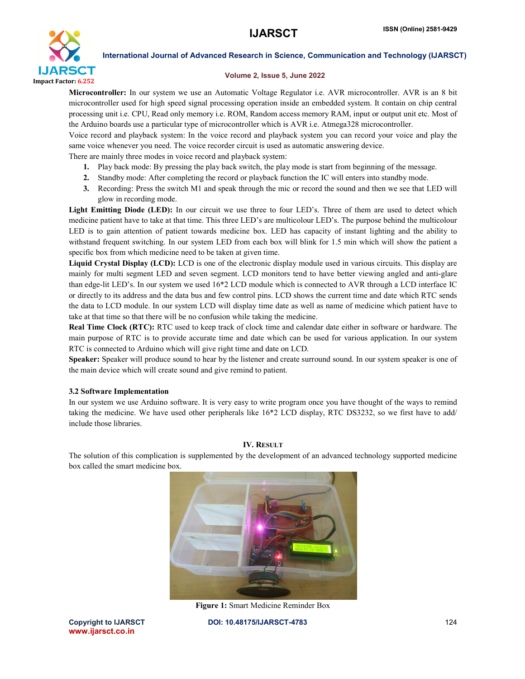

International Journal of Advanced Research in Science, Communication and Technology (IJARSCT)

### Volume 2, Issue 5, June 2022

Microcontroller: In our system we use an Automatic Voltage Regulator i.e. AVR microcontroller. AVR is an 8 bit microcontroller used for high speed signal processing operation inside an embedded system. It contain on chip central processing unit i.e. CPU, Read only memory i.e. ROM, Random access memory RAM, input or output unit etc. Most of the Arduino boards use a particular type of microcontroller which is AVR i.e. Atmega328 microcontroller.

Voice record and playback system: In the voice record and playback system you can record your voice and play the same voice whenever you need. The voice recorder circuit is used as automatic answering device.

There are mainly three modes in voice record and playback system:

- 1. Play back mode: By pressing the play back switch, the play mode is start from beginning of the message.
- 2. Standby mode: After completing the record or playback function the IC will enters into standby mode.
- 3. Recording: Press the switch M1 and speak through the mic or record the sound and then we see that LED will glow in recording mode.

Light Emitting Diode (LED): In our circuit we use three to four LED's. Three of them are used to detect which medicine patient have to take at that time. This three LED's are multicolour LED's. The purpose behind the multicolour LED is to gain attention of patient towards medicine box. LED has capacity of instant lighting and the ability to withstand frequent switching. In our system LED from each box will blink for 1.5 min which will show the patient a specific box from which medicine need to be taken at given time.

Liquid Crystal Display (LCD): LCD is one of the electronic display module used in various circuits. This display are mainly for multi segment LED and seven segment. LCD monitors tend to have better viewing angled and anti-glare than edge-lit LED's. In our system we used 16\*2 LCD module which is connected to AVR through a LCD interface IC or directly to its address and the data bus and few control pins. LCD shows the current time and date which RTC sends the data to LCD module. In our system LCD will display time date as well as name of medicine which patient have to take at that time so that there will be no confusion while taking the medicine.

Real Time Clock (RTC): RTC used to keep track of clock time and calendar date either in software or hardware. The main purpose of RTC is to provide accurate time and date which can be used for various application. In our system RTC is connected to Arduino which will give right time and date on LCD.

Speaker: Speaker will produce sound to hear by the listener and create surround sound. In our system speaker is one of the main device which will create sound and give remind to patient.

# 3.2 Software Implementation

In our system we use Arduino software. It is very easy to write program once you have thought of the ways to remind taking the medicine. We have used other peripherals like 16\*2 LCD display, RTC DS3232, so we first have to add/ include those libraries.

### IV. RESULT

The solution of this complication is supplemented by the development of an advanced technology supported medicine box called the smart medicine box.



Figure 1: Smart Medicine Reminder Box